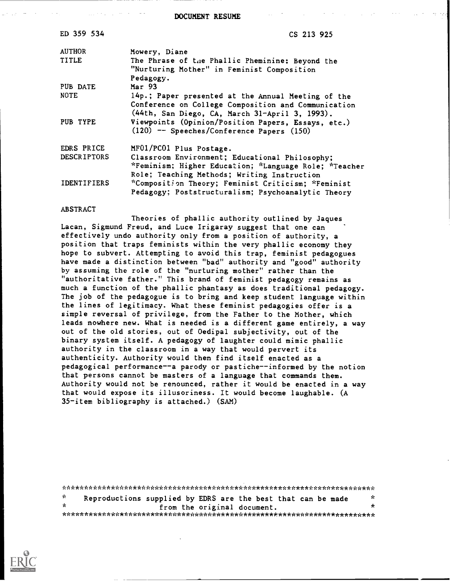DOCUMENT RESUME

| ED 359 534         | CS 213 925                                                                                                                                                  |
|--------------------|-------------------------------------------------------------------------------------------------------------------------------------------------------------|
| <b>AUTHOR</b>      | Mowery, Diane                                                                                                                                               |
| TITLE              | The Phrase of the Phallic Pheminine: Beyond the<br>"Nurturing Mother" in Feminist Composition<br>Pedagogy.                                                  |
| PUB DATE           | Mar 93                                                                                                                                                      |
| <b>NOTE</b>        | 14p.; Paper presented at the Annual Meeting of the<br>Conference on College Composition and Communication<br>(44th, San Diego, CA, March 31-April 3, 1993). |
| PUB TYPE           | Viewpoints (Opinion/Position Papers, Essays, etc.)<br>$(120)$ -- Speeches/Conference Papers $(150)$                                                         |
| EDRS PRICE         | MF01/PC01 Plus Postage.                                                                                                                                     |
| <b>DESCRIPTORS</b> | Classroom Environment; Educational Philosophy;<br>*Feminism; Higher Education; *Language Role; *Teacher<br>Role; Teaching Methods; Writing Instruction      |
| <b>IDENTIFIERS</b> | *Composition Theory; Feminist Criticism; *Feminist<br>Pedagogy; Poststructuralism; Psychoanalytic Theory                                                    |

#### ABSTRACT

Theories of phallic authority outlined by Jaques Lacan, Sigmund Freud, and Luce Irigaray suggest that one can effectively undo authority only from a position of authority, a position that traps feminists within the very phallic economy they hope to subvert. Attempting to avoid this trap, feminist pedagogues have made a distinction between "bad" authority and "good" authority by assuming the role of the "nurturing mother" rather than the "authoritative father." This brand of feminist pedagogy remains as much a function of the phallic phantasy as does traditional pedagogy. The job of the pedagogue is to bring and keep student language within the lines of legitimacy. What these feminist pedagogies offer is a simple reversal of privilege, from the Father to the Mother, which leads nowhere new. What is needed is a different game entirely, a way out of the old stories, out of Oedipal subjectivity, out of the binary system itself. A pedagogy of laughter could mimic phallic authority in the classroom in a way that would pervert its authenticity. Authority would then find itself enacted as a pedagogical performance--a parody or pastiche--informed by the notion that persons cannot be masters of a language that commands them. Authority would not be renounced, rather it would be enacted in a way that would expose its illusoriness. It would become laughable. (A 35-item bibliography is attached.) (SAM)

|    | Reproductions supplied by EDRS are the best that can be made | - St    |  |  |
|----|--------------------------------------------------------------|---------|--|--|
| ÷. | from the original document.                                  | $\star$ |  |  |
|    |                                                              |         |  |  |

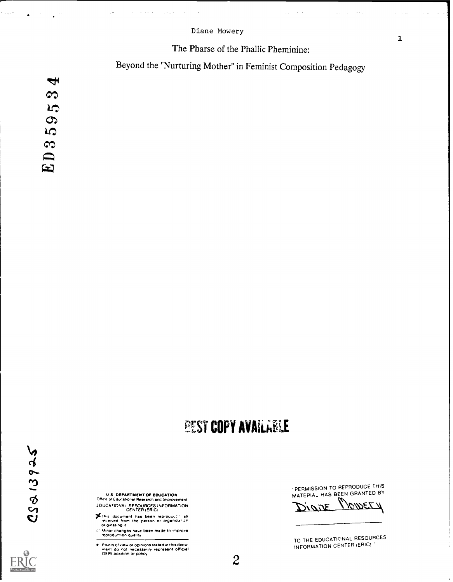#### Diane Mowery

## The Pharse of the Phallic Pheminine:

 $\sim$   $\sim$ 

Beyond the "Nurturing Mother" in Feminist Composition Pedagogy

 $\blacktriangleleft$  $\infty$ **LO**  $59<sub>i</sub>$ ED3!

# *DEST COPY AVAILLELE*

U.S. DEPARTMENT OF EDUCATION<br>Office of Educational Research and triprovernent EDUCATIONAL RESOURCES INFORMATION CENTER (ERIC)

- This document has been reproduct." as<br>received from the person or organizal or<br>Minor changes have been made to improve<br>Reproduction quality
- 
- Points of view or opinions stated in this docul<br>ment: do: not: necessarily: represent: officiel<br>OERI position or policy

PERMISSION TO REPRODUCE THIS

MATEPIAL HAS BEEN GRANTED BY

TO THE EDUCATIONAL RESOURCES INFORMATION CENTER (ERIC)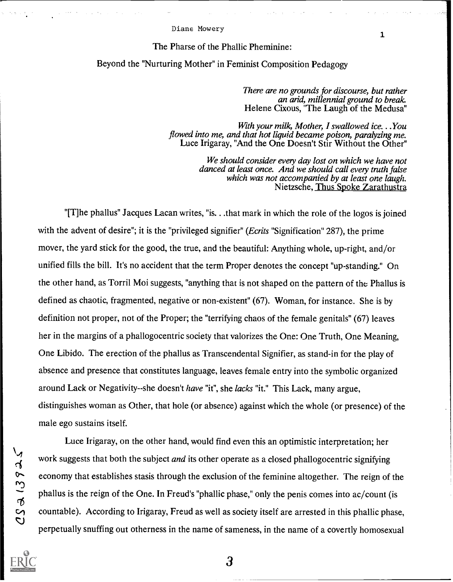#### Diane Mowery

#### The Pharse of the Phallic Pheminine:

#### Beyond the "Nurturing Mother" in Feminist Composition Pedagogy

There are no grounds for discourse, but rather an arid, millennial ground to break Helene Cixous, "The Laugh of the Medusa"

1

With your milk, Mother, I swallowed ice. . .You flowed into me, and that hot liquid became poison, paralyzing me. Luce Irigaray, "And the One Doesn't Stir Without the Other"

> We should consider every day lost on which we have not danced at least once. And we should call every truth false which was not accompanied by at least one laugh. Nietzsche, Thus Spoke Zarathustra

"[T]he phallus" Jacques Lacan writes, "is.. .that mark in which the role of the logos is joined with the advent of desire"; it is the "privileged signifier" (*Ecrits* "Signification" 287), the prime mover, the yard stick for the good, the true, and the beautiful: Anything whole, up-right, and/or unified fills the bill. It's no accident that the term Proper denotes the concept "up-standing." On the other hand, as Torril Moi suggests, "anything that is not shaped on the pattern of the Phallus is defined as chaotic, fragmented, negative or non-existent" (67). Woman, for instance. She is by definition not proper, not of the Proper; the "terrifying chaos of the female genitals" (67) leaves her in the margins of a phallogocentric society that valorizes the One: One Truth, One Meaning, One Libido. The erection of the phallus as Transcendental Signifier, as stand-in for the play of absence and presence that constitutes language, leaves female entry into the symbolic organized around Lack or Negativity--she doesn't have "it", she lacks "it." This Lack, many argue, distinguishes woman as Other, that hole (or absence) against which the whole (or presence) of the male ego sustains itself.

Luce Irigaray, on the other hand, would find even this an optimistic interpretation; her work suggests that both the subject *and* its other operate as a closed phallogocentric signifying economy that establishes stasis through the exclusion of the feminine altogether. The reign of the phallus is the reign of the One. In Freud's "phallic phase," only the penis comes into ac/count (is countable). According to Irigaray, Freud as well as society itself are arrested in this phallic phase, perpetually snuffing out otherness in the name of sameness, in the name of a covertly homosexual

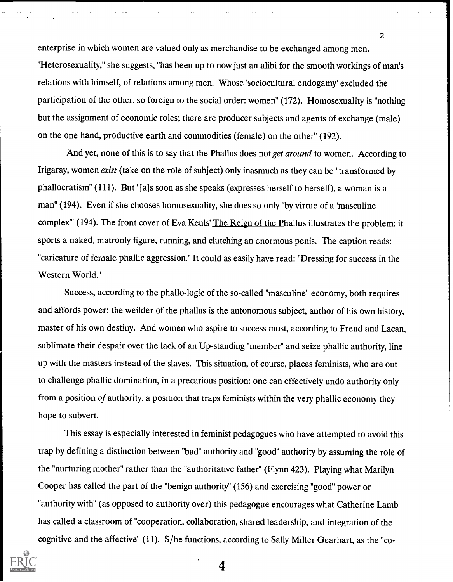enterprise in which women are valued only as merchandise to be exchanged among men. "Heterosexuality," she suggests, "has been up to now just an alibi for the smooth workings of man's relations with himself, of relations among men. Whose 'sociocultural endogamy' excluded the participation of the other, so foreign to the social order: women" (172). Homosexuality is "nothing but the assignment of economic roles; there are producer subjects and agents of exchange (male) on the one hand, productive earth and commodities (female) on the other" (192).

2

And yet, none of this is to say that the Phallus does not *get around* to women. According to Irigaray, women exist (take on the role of subject) only inasmuch as they can be "transformed by phallocratism" (111). But "[ajs soon as she speaks (expresses herself to herself), a woman is a man" (194). Even if she chooses homosexuality, she does so only "by virtue of a 'masculine complex<sup>"</sup> (194). The front cover of Eva Keuls' The Reign of the Phallus illustrates the problem: it sports a naked, matronly figure, running, and clutching an enormous penis. The caption reads: "caricature of female phallic aggression." It could as easily have read: "Dressing for success in the Western World."

Success, according to the phallo-logic of the so-called "masculine" economy, both requires and affords power: the weilder of the phallus is the autonomous subject, author of his own history, master of his own destiny. And women who aspire to success must, according to Freud and Lacan, sublimate their despair over the lack of an Up-standing "member" and seize phallic authority, line up with the masters instead of the slaves. This situation, of course, places feminists, who are out to challenge phallic domination, in a precarious position: one can effectively undo authority only from a position of authority, a position that traps feminists within the very phallic economy they hope to subvert.

This essay is especially interested in feminist pedagogues who have attempted to avoid this trap by defining a distinction between "bad" authority and "good" authority by assuming the role of the "nurturing mother" rather than the "authoritative father" (Flynn 423). Playing what Marilyn Cooper has called the part of the "benign authority" (156) and exercising "good" power or "authority with" (as opposed to authority over) this pedagogue encourages what Catherine Lamb has called a classroom of "cooperation, collaboration, shared leadership, and integration of the cognitive and the affective" (11). S/he functions, according to Sally Miller Gearhart, as the "co-

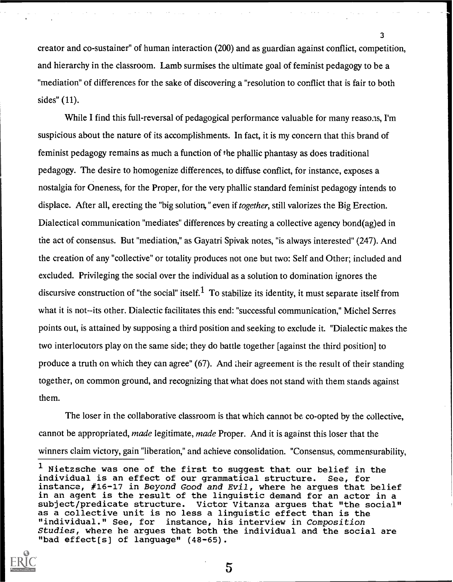creator and co-sustainer" of human interaction (200) and as guardian against conflict, competition, and hierarchy in the classroom. Lamb surmises the ultimate goal of feminist pedagogy to be a "mediation" of differences for the sake of discovering a "resolution to conflict that is fair to both sides" (11).

While I find this full-reversal of pedagogical performance valuable for many reasons, I'm suspicious about the nature of its accomplishments. In fact, it is my concern that this brand of feminist pedagogy remains as much a function of the phallic phantasy as does traditional pedagogy. The desire to homogenize differences, to diffuse conflict, for instance, exposes a nostalgia for Oneness, for the Proper, for the very phallic standard feminist pedagogy intends to displace. After all, erecting the "big solution," even if *together*, still valorizes the Big Erection. Dialectical communication "mediates" differences by creating a collective agency bond(ag)ed in the act of consensus. But "mediation," as Gayatri Spivak notes, "is always interested" (247). And the creation of any "collective" or totality produces not one but two: Self and Other; included and excluded. Privileging the social over the individual as a solution to domination ignores the discursive construction of "the social" itself.<sup>1</sup> To stabilize its identity, it must separate itself from what it is not--its other. Dialectic facilitates this end: "successful communication," Michel Serres points out, is attained by supposing a third position and seeking to exclude it. "Dialectic makes the two interlocutors play on the same side; they do battle together [against the third position] to produce a truth on which they can agree" (67). And their agreement is the result of their standing together, on common ground, and recognizing that what does not stand with them stands against them.

The loser in the collaborative classroom is that which cannot be co-opted by the collective, cannot be appropriated, made legitimate, made Proper. And it is against this loser that the winners claim victory, gain "liberation," and achieve consolidation. "Consensus, commensurability,

<sup>&</sup>lt;sup>1</sup> Nietzsche was one of the first to suggest that our belief in the individual is an effect of our grammatical structure. See, for individual is an effect of our grammatical structure. instance, #16-17 in Beyond Good and Evil, where he argues that belief in an agent is the result of the linguistic demand for an actor in a subject/predicate structure. Victor Vitanza argues that "the social" as a collective unit is no less a linguistic effect than is the<br>"individual." See, for instance, his interview in Composition instance, his interview in Composition Studies, where he argues that both the individual and the social are "bad effect[s] of language" (48-65).

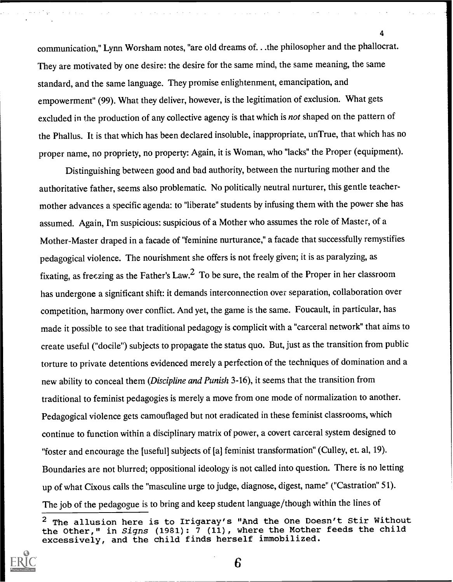communication," Lynn Worsham notes, "are old dreams of. . .the philosopher and the phallocrat. They are motivated by one desire: the desire for the same mind, the same meaning, the same standard, and the same language. They promise enlightenment, emancipation, and empowerment" (99). What they deliver, however, is the legitimation of exclusion. What gets excluded in the production of any collective agency is that which is not shaped on the pattern of the Phallus. It is that which has been declared insoluble, inappropriate, unTrue, that which has no proper name, no propriety, no property: Again, it is Woman, who "lacks" the Proper (equipment).

4

Distinguishing between good and bad authority, between the nurturing mother and the authoritative father, seems also problematic. No politically neutral nurturer, this gentle teachermother advances a specific agenda: to "liberate" students by infusing them with the power she has assumed. Again, I'm suspicious: suspicious of a Mother who assumes the role of Master, of a Mother-Master draped in a facade of "feminine nurturance," a facade that successfully remystifies pedagogical violence. The nourishment she offers is not freely given; it is as paralyzing, as fixating, as freezing as the Father's Law.<sup>2</sup> To be sure, the realm of the Proper in her classroom has undergone a significant shift: it demands interconnection over separation, collaboration over competition, harmony over conflict. And yet, the game is the same. Foucault, in particular, has made it possible to see that traditional pedagogy is complicit with a "carceral network" that aims to create useful ("docile") subjects to propagate the status quo. But, just as the transition from public torture to private detentions evidenced merely a perfection of the techniques of domination and a new ability to conceal them (Discipline and Punish 3-16), it seems that the transition from traditional to feminist pedagogics is merely a move from one mode of normalization to another. Pedagogical violence gets camouflaged but not eradicated in these feminist classrooms, which continue to function within a disciplinary matrix of power, a covert carceral system designed to "foster and encourage the [useful] subjects of [a] feminist transformation" (Culley, et. al, 19). Boundaries are not blurred; oppositional ideology is not called into question. There is no letting up of what Cixous calls the "masculine urge to judge, diagnose, digest, name" ("Castration" 51). The job of the pedagogue is to bring and keep student language/though within the lines of

 $2$  The allusion here is to Irigaray's "And the One Doesn't Stir Without the Other," in Signs (1981):  $\overline{7}$  (11), where the Mother feeds the child excessively, and the child finds herself immobilized.

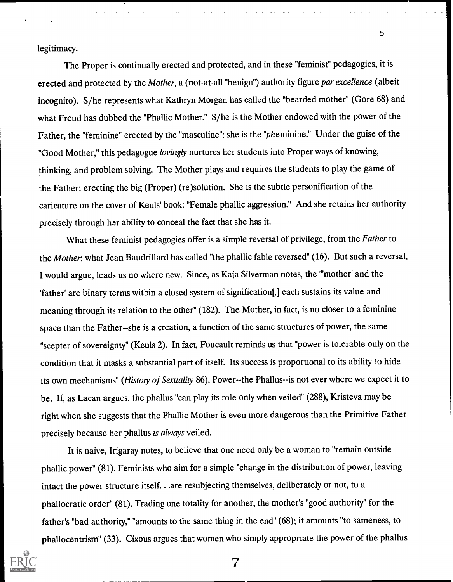legitimacy.

The Proper is continually erected and protected, and in these "feminist" pedagogies, it is erected and protected by the Mother, a (not-at-all "benign") authority figure par excellence (albeit incognito). S/he represents what Kathryn Morgan has called the "bearded mother" (Gore 68) and what Freud has dubbed the "Phallic Mother." S/he is the Mother endowed with the power of the Father, the "feminine" erected by the "masculine": she is the "pheminine." Under the guise of the "Good Mother," this pedagogue lovingly nurtures her students into Proper ways of knowing, thinking, and problem solving. The Mother plays and requires the students to play the game of the Father: erecting the big (Proper) (re)solution. She is the subtle personification of the caricature on the cover of Keuls' book: "Female phallic aggression." And she retains her authority precisely through her ability to conceal the fact that she has it.

5

What these feminist pedagogies offer is a simple reversal of privilege, from the Father to the Mother: what Jean Baudrillard has called "the phallic fable reversed" (16). But such a reversal, I would argue, leads us no where new. Since, as Kaja Silverman notes, the "'mother' and the 'father' are binary terms within a closed system of signification[,] each sustains its value and meaning through its relation to the other" (182). The Mother, in fact, is no closer to a feminine space than the Father--she is a creation, a function of the same structures of power, the same "scepter of sovereignty" (Keuls 2). In fact, Foucault reminds us that "power is tolerable only on the condition that it masks a substantial part of itself. Its success is proportional to its ability fo hide its own mechanisms" (History of Sexuality 86). Power--the Phallus--is not ever where we expect it to be. If, as Lacan argues, the phallus "can play its role only when veiled" (288), Kristeva may be right when she suggests that the Phallic Mother is even more dangerous than the Primitive Father precisely because her phallus is always veiled.

It is naive, Irigaray notes, to believe that one need only be a woman to "remain outside phallic power" (81). Feminists who aim for a simple "change in the distribution of power, leaving intact the power structure itself. . .are resubjecting themselves, deliberately or not, to a phallocratic order" (81). Trading one totality for another, the mother's "good authority" for the father's "bad authority," "amounts to the same thing in the end" (68); it amounts "to sameness, to phallocentrism" (33). Cixous argues that women who simply appropriate the power of the phallus

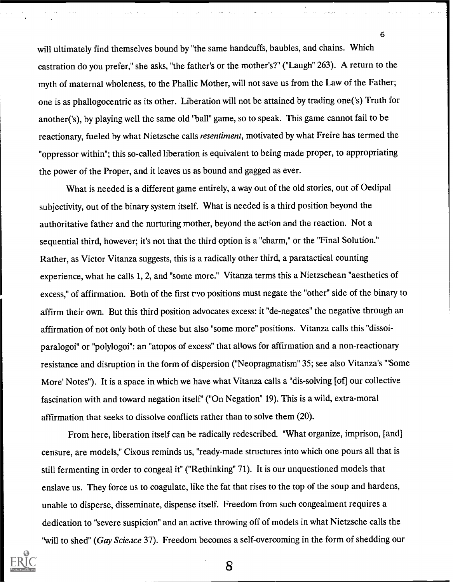will ultimately find themselves bound by "the same handcuffs, baubles, and chains. Which castration do you prefer," she asks, "the father's or the mother's?" ("Laugh" 263). A return to the myth of maternal wholeness, to the Phallic Mother, will not save us from the Law of the Father; one is as phallogocentric as its other. Liberation will not be attained by trading one('s) Truth for another('s), by playing well the same old 'ball" game, so to speak. This game cannot fail to be reactionary, fueled by what Nietzsche calls resentiment, motivated by what Freire has termed the "oppressor within"; this so-called liberation is equivalent to being made proper, to appropriating the power of the Proper, and it leaves us as bound and gagged as ever.

6

What is needed is a different game entirely, a way out of the old stories, out of Oedipal subjectivity, out of the binary system itself. What is needed is a third position beyond the authoritative father and the nurturing mother, beyond the action and the reaction. Not a sequential third, however; it's not that the third option is a "charm," or the "Final Solution." Rather, as Victor Vitanza suggests, this is a radically other third, a paratactical counting experience, what he calls 1, 2, and "some more." Vitanza terms this a Nietzschean "aesthetics of excess," of affirmation. Both of the first t-vo positions must negate the "other" side of the binary to affirm their own. But this third position advocates excess: it "de-negates" the negative through an affirmation of not only both of these but also "some more" positions. Vitanza calls this "dissoiparalogoi" or "polylogoi": an "atopos of excess" that allows for affirmation and a non-reactionary resistance and disruption in the form of dispersion ("Neopragmatism" 35; see also Vitanza's "'Some More' Notes"). It is a space in which we have what Vitanza calls a "dis-solving [of] our collective fascination with and toward negation itself' ("On Negation" 19). This is a wild, extra-moral affirmation that seeks to dissolve conflicts rather than to solve them (20).

From here, liberation itself can be radically redescribed. "What organize, imprison, [and] censure, are models," Cixous reminds us, "ready-made structures into which one pours all that is still fermenting in order to congeal it" ("Rethinking" 71). It is our unquestioned models that enslave us. They force us to coagulate, like the fat that rises to the top of the soup and hardens, unable to disperse, disseminate, dispense itself. Freedom from such congealment requires a dedication to "severe suspicion" and an active throwing off of models in what Nietzsche calls the "will to shed" (Gay Scie, ice 37). Freedom becomes a self-overcoming in the form of shedding our

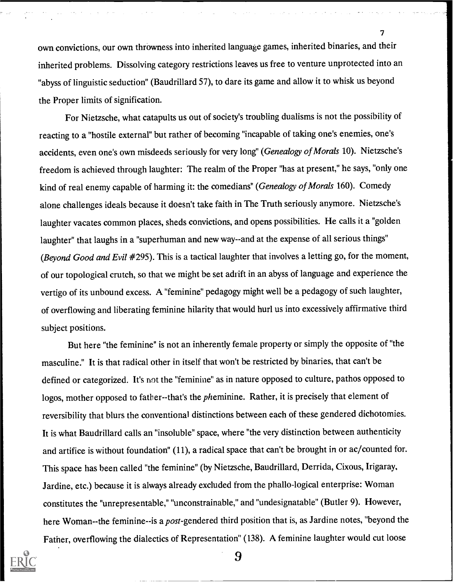own convictions, our own throwness into inherited language games, inherited binaries, and their inherited problems. Dissolving category restrictions leaves us free to venture unprotected into an "abyss of linguistic seduction" (Baudrillard 57), to dare its game and allow it to whisk us beyond the Proper limits of signification.

7

For Nietzsche, what catapults us out of society's troubling dualisms is not the possibility of reacting to a "hostile external" but rather of becoming "incapable of taking one's enemies, one's accidents, even one's own misdeeds seriously for very long" (Genealogy of Morals 10). Nietzsche's freedom is achieved through laughter: The realm of the Proper "has at present," he says, "only one kind of real enemy capable of harming it: the comedians" (Genealogy of Morals 160). Comedy alone challenges ideals because it doesn't take faith in The Truth seriously anymore. Nietzsche's laughter vacates common places, sheds convictions, and opens possibilities. He calls it a "golden laughter" that laughs in a "superhuman and new way--and at the expense of all serious things" (Beyond Good and Evil #295). This is a tactical laughter that involves a letting go, for the moment, of our topological crutch, so that we might be set adrift in an abyss of language and experience the vertigo of its unbound excess. A "feminine" pedagogy might well be a pedagogy of such laughter, of overflowing and liberating feminine hilarity that would hurl us into excessively affirmative third subject positions.

But here "the feminine" is not an inherently female property or simply the opposite of "the masculine." It is that radical other in itself that won't be restricted by binaries, that can't be defined or categorized. It's not the "feminine" as in nature opposed to culture, pathos opposed to logos, mother opposed to father-that's the *pheminine*. Rather, it is precisely that element of reversibility that blurs the conventional distinctions between each of these gendered dichotomies. It is what Baudrillard calls an "insoluble" space, where "the very distinction between authenticity and artifice is without foundation" (11), a radical space that can't be brought in or ac/counted for. This space has been called "the feminine" (by Nietzsche, Baudrillard, Derrida, Cixous, Irigaray, Jardine, etc.) because it is always already excluded from the phallo-logical enterprise: Woman constitutes the "unrepresentable," "unconstrainable," and "undesignatable" (Butler 9). However, here Woman--the feminine--is a post-gendered third position that is, as Jardine notes, "beyond the Father, overflowing the dialectics of Representation" (138). A feminine laughter would cut loose

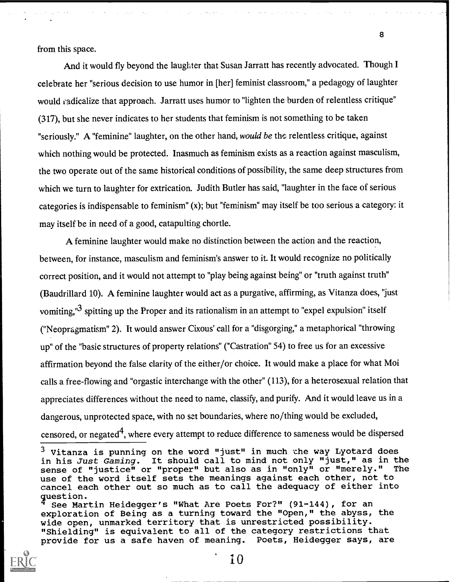from this space.

And it would fly beyond the laughter that Susan Jarratt has recently advocated. Though I celebrate her "serious decision to use humor in [her] feminist classroom," a pedagogy of laughter would radicalize that approach. Jarratt uses humor to "lighten the burden of relentless critique" (317), but she never indicates to her students that feminism is not something to be taken "seriously." A "feminine" laughter, on the other hand, would be the relentless critique, against which nothing would be protected. Inasmuch as feminism exists as a reaction against masculism, the two operate out of the same historical conditions of possibility, the same deep structures from which we turn to laughter for extrication. Judith Butler has said, "laughter in the face of serious categories is indispensable to feminism" (x); but "feminism" may itself be too serious a category: it may itself be in need of a good, catapulting chortle.

A feminine laughter would make no distinction between the action and the reaction, between, for instance, masculism and feminism's answer to it. It would recognize no politically correct position, and it would not attempt to "play being against being" or "truth against truth" (Baudrillard 10). A feminine laughter would act as a purgative, affirming, as Vitanza does, "just vomiting,"<sup>3</sup> spitting up the Proper and its rationalism in an attempt to "expel expulsion" itself ("Neopragmatism" 2). It would answer Cixous' call for a "disgorging," a metaphorical "throwing up" of the "basic structures of property relations" ("Castration" 54) to free us for an excessive affirmation beyond the false clarity of the either/or choice. It would make a place for what Moi calls a free-flowing and "orgastic interchange with the other" (113), for a heterosexual relation that appreciates differences without the need to name, classify, and purify. And it would leave us in a dangerous, unprotected space, with no set boundaries, where no/thing would be excluded, censored, or negated<sup>4</sup>, where every attempt to reduce difference to sameness would be dispersed

See Martin Heidegger's "What Are Poets For?" (91-144), for an exploration of Being as a turning toward the "Open," the abyss, the wide open, unmarked territory that is unrestricted possibility. "Shielding" is equivalent to all of the category restrictions that<br>provide for us a safe haven of meaning. Poets, Heidegger says, are provide for us a safe haven of meaning.



 $3$  Vitanza is punning on the word "just" in much the way Lyotard does in his Just Gaming. It should call to mind not only "just," as in the<br>sense of "justice" or "proper" but also as in "only" or "merely." The sense of "justice" or "proper" but also as in "only" or "merely." use of the word itself sets the meanings against each other, not to cancel each other out so much as to call the adequacy of either into question.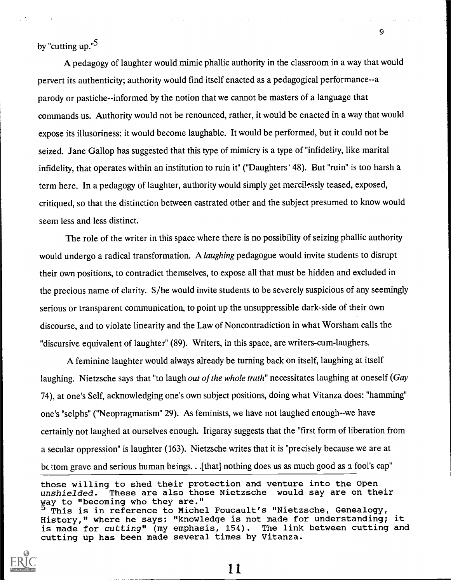by "cutting up."<sup>5</sup>

A pedagogy of laughter would mimic phallic authority in the classroom in a way that would pervert its authenticity; authority would find itself enacted as a pedagogical performance--a parody or pastiche--informed by the notion that we cannot be masters of a language that commands us. Authority would not be renounced, rather, it would be enacted in a way that would expose its illusoriness: it would become laughable. It would be performed, but it could not be seized. Jane Gallop has suggested that this type of mimicry is a type of "infidelity, like marital infidelity, that operates within an institution to ruin it" ("Daughters" 48). But "ruin" is too harsh a term here. In a pedagogy of laughter, authority would simply get mercilessly teased, exposed, critiqued, so that the distinction between castrated other and the subject presumed to know would seem less and less distinct.

The role of the writer in this space where there is no possibility of seizing phallic authority would undergo a radical transformation. A *laughing* pedagogue would invite students to disrupt their own positions, to contradict themselves, to expose all that must be hidden and excluded in the precious name of clarity. S/he would invite students to be severely suspicious of any seemingly serious or transparent communication, to point up the unsuppressible dark-side of their own discourse, and to violate linearity and the Law of Noncontradiction in what Worsham calls the "discursive equivalent of laughter" (89). Writers, in this space, are writers-cum-laughers.

A feminine laughter would always already be turning back on itself, laughing at itself laughing. Nietzsche says that "to laugh out of the whole truth" necessitates laughing at oneself (Gay 74), at one's Self, acknowledging one's own subject positions, doing what Vitanza does: "hamming" one's "selphs" ("Neopragmatism" 29). As feminists, we have not laughed enough--we have certainly not laughed at ourselves enough. Irigaray suggests that the "first form of liberation from a secular oppression" is laughter (163). Nietzsche writes that it is "precisely because we are at be to grave and serious human beings. . . [that] nothing does us as much good as a fool's cap"

those willing to shed their protection and venture into the Open unshielded. These are also those Nietzsche would say are on their way to "becoming who they are." This is in reference to Michel Foucault's "Nietzsche, Genealogy, History," where he says: "knowledge is not made for understanding; it is made for cutting" (my emphasis, 154). The link between cutting and cutting up has been made several times by Vitanza.



11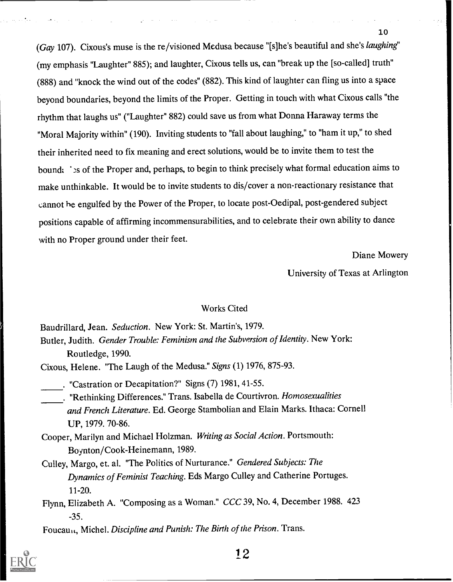(Gay 107). Cixous's muse is the re/visioned Medusa because "[s]he's beautiful and she's laughing" (my emphasis "Laughter" 885); and laughter, Cixous tells us, can "break up the [so-called] truth" (888) and "knock the wind out of the codes" (882). This kind of laughter can fling us into a space beyond boundaries, beyond the limits of the Proper. Getting in touch with what Cixous calls "the rhythm that laughs us" ("Laughter" 882) could save us from what Donna Haraway terms the "Moral Majority within" (190). Inviting students to "fall about laughing," to "ham it up," to shed their inherited need to fix meaning and erect solutions, would be to invite them to test the bound: `ss of the Proper and, perhaps, to begin to think precisely what formal education aims to make unthinkable. It would be to invite students to dis/cover a non-reactionary resistance that cannot he engulfed by the Power of the Proper, to locate post-Oedipal, post-gendered subject positions capable of affirming incommensurabilities, and to celebrate their own ability to dance with no Proper ground under their feet.

Diane Mowery

University of Texas at Arlington

### Works Cited

Baudrillard, Jean. Seduction. New York: St. Martin's, 1979. Butler, Judith. Gender Trouble: Feminism and the Subversion of Identity. New York: Routledge, 1990.

Cixous, Helene. "The Laugh of the Medusa." Signs (1) 1976, 875-93.

. "Castration or Decapitation?" Signs (7) 1981, 41-55.

- . "Rethinking Differences." Trans. Isabella de Courtivron. Homosexualities and French Literature. Ed. George Stambolian and Elain Marks. Ithaca: Cornell UP, 1979. 70-86.
- Cooper, Marilyn and Michael Holzman. Writing as Social Action. Portsmouth: Boynton/Cook-Heinemann, 1989.
- Culley, Margo, et. al. "The Politics of Nurturance." Gendered Subjects: The Dynamics of Feminist Teaching. Eds Margo Culley and Catherine Portuges. 11-20.
- Flynn, Elizabeth A. "Composing as a Woman." CCC 39, No. 4, December 1988. 423 -35.

Foucau, Michel. Discipline and Punish: The Birth of the Prison. Trans.

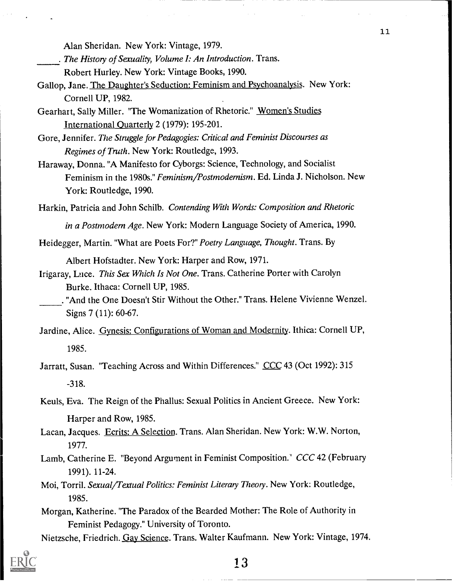Alan Sheridan. New York: Vintage, 1979.

. The History of Sexuality, Volume I: An Introduction. Trans.

Robert Hurley. New York: Vintage Books, 1990.

- Gallop, Jane. The Daughter's Seduction: Feminism and Psychoanalysis. New York: Cornell UP, 1982.
- Gearhart, Sally Miller. "The Womanization of Rhetoric." Women's Studies International Quarterly 2 (1979): 195-201.

Gore, Jennifer. The Struggle for Pedagogies: Critical and Feminist Discourses as Regimes of Truth. New York: Routledge, 1993.

Haraway, Donna. "A Manifesto for Cyborgs: Science, Technology, and Socialist Feminism in the 1980s." Feminism/Postmodernism. Ed. Linda J. Nicholson. New York: Routledge, 1990.

Harkin, Patricia and John Schilb. Contending With Words: Composition and Rhetoric

in a Postmodern Age. New York: Modern Language Society of America, 1990.

Heidegger, Martin. "What are Poets For?" Poetry Language, Thought. Trans. By

Albert Hofstadter. New York: Harper and Row, 1971.

Irigaray, Luce. This Sex Which Is Not One. Trans. Catherine Porter with Carolyn Burke. Ithaca: Cornell UP, 1985.

- Jardine, Alice. Gynesis: Configurations of Woman and Modernity. Ithica: Cornell UP, 1985.
- Jarratt, Susan. "Teaching Across and Within Differences." CCC 43 (Oct 1992): 315 -318.
- Keuls, Eva. The Reign of the Phallus: Sexual Politics in Ancient Greece. New York: Harper and Row, 1985.
- Lacan, Jacques. Ecrits: A Selection. Trans. Alan Sheridan. New York: W.W. Norton, 1977.
- Lamb, Catherine E. "Beyond Argument in Feminist Composition.' CCC 42 (February 1991). 11-24.
- Moi, Torril. Sexual/Textual Politics: Feminist Literary Theory. New York: Routledge, 1985.
- Morgan, Katherine. "The Paradox of the Bearded Mother: The Role of Authority in Feminist Pedagogy." University of Toronto.
- Nietzsche, Friedrich. Gay Science. Trans. Walter Kaufmann. New York: Vintage, 1974.



<sup>.</sup> "And the One Doesn't Stir Without the Other." Trans. Helene Vivienne Wenzel. Signs 7 (11): 60-67.